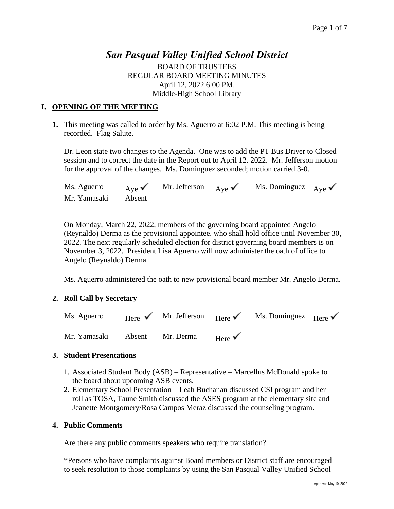# *San Pasqual Valley Unified School District*

BOARD OF TRUSTEES REGULAR BOARD MEETING MINUTES April 12, 2022 6:00 PM. Middle-High School Library

#### **I. OPENING OF THE MEETING**

**1.** This meeting was called to order by Ms. Aguerro at 6:02 P.M. This meeting is being recorded. Flag Salute.

Dr. Leon state two changes to the Agenda. One was to add the PT Bus Driver to Closed session and to correct the date in the Report out to April 12. 2022. Mr. Jefferson motion for the approval of the changes. Ms. Dominguez seconded; motion carried 3-0.

Ms. Aguerro  $Aye \times Mr$ . Jefferson  $Aye \times Ms$ . Dominguez  $Aye \times Ms$ Mr. Yamasaki Absent

On Monday, March 22, 2022, members of the governing board appointed Angelo (Reynaldo) Derma as the provisional appointee, who shall hold office until November 30, 2022. The next regularly scheduled election for district governing board members is on November 3, 2022. President Lisa Aguerro will now administer the oath of office to Angelo (Reynaldo) Derma.

Ms. Aguerro administered the oath to new provisional board member Mr. Angelo Derma.

#### **2. Roll Call by Secretary**

| Ms. Aguerro $_{\text{Here}} \checkmark$ Mr. Jefferson $_{\text{Here}} \checkmark$ |                                       | Ms. Dominguez $_{\text{Here}} \checkmark$ |  |
|-----------------------------------------------------------------------------------|---------------------------------------|-------------------------------------------|--|
| Mr. Yamasaki Absent                                                               | Mr. Derma $_{\text{Here}} \checkmark$ |                                           |  |

#### **3. Student Presentations**

- 1. Associated Student Body (ASB) Representative Marcellus McDonald spoke to the board about upcoming ASB events.
- 2. Elementary School Presentation Leah Buchanan discussed CSI program and her roll as TOSA, Taune Smith discussed the ASES program at the elementary site and Jeanette Montgomery/Rosa Campos Meraz discussed the counseling program.

#### **4. Public Comments**

Are there any public comments speakers who require translation?

\*Persons who have complaints against Board members or District staff are encouraged to seek resolution to those complaints by using the San Pasqual Valley Unified School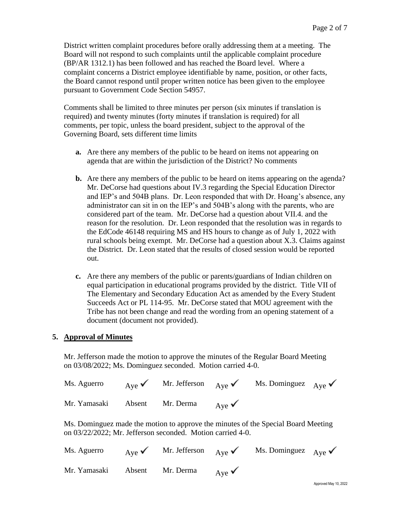District written complaint procedures before orally addressing them at a meeting. The Board will not respond to such complaints until the applicable complaint procedure (BP/AR 1312.1) has been followed and has reached the Board level. Where a complaint concerns a District employee identifiable by name, position, or other facts, the Board cannot respond until proper written notice has been given to the employee pursuant to Government Code Section 54957.

Comments shall be limited to three minutes per person (six minutes if translation is required) and twenty minutes (forty minutes if translation is required) for all comments, per topic, unless the board president, subject to the approval of the Governing Board, sets different time limits

- **a.** Are there any members of the public to be heard on items not appearing on agenda that are within the jurisdiction of the District? No comments
- **b.** Are there any members of the public to be heard on items appearing on the agenda? Mr. DeCorse had questions about IV.3 regarding the Special Education Director and IEP's and 504B plans. Dr. Leon responded that with Dr. Hoang's absence, any administrator can sit in on the IEP's and 504B's along with the parents, who are considered part of the team. Mr. DeCorse had a question about VII.4. and the reason for the resolution. Dr. Leon responded that the resolution was in regards to the EdCode 46148 requiring MS and HS hours to change as of July 1, 2022 with rural schools being exempt. Mr. DeCorse had a question about X.3. Claims against the District. Dr. Leon stated that the results of closed session would be reported out.
- **c.** Are there any members of the public or parents/guardians of Indian children on equal participation in educational programs provided by the district. Title VII of The Elementary and Secondary Education Act as amended by the Every Student Succeeds Act or PL 114-95. Mr. DeCorse stated that MOU agreement with the Tribe has not been change and read the wording from an opening statement of a document (document not provided).

#### **5. Approval of Minutes**

Mr. Jefferson made the motion to approve the minutes of the Regular Board Meeting on 03/08/2022; Ms. Dominguez seconded. Motion carried 4-0.

| Ms. Aguerro  | Ave $\checkmark$ | Mr. Jefferson $_{\text{Ave}} \checkmark$ |                  | Ms. Dominguez $_{\text{Ave}} \checkmark$ |  |
|--------------|------------------|------------------------------------------|------------------|------------------------------------------|--|
| Mr. Yamasaki | Absent           | Mr. Derma                                | Ave $\checkmark$ |                                          |  |

Ms. Dominguez made the motion to approve the minutes of the Special Board Meeting on 03/22/2022; Mr. Jefferson seconded. Motion carried 4-0.

| Ms. Aguerro                   | Ave $\sqrt{\phantom{a}}$ Mr. Jefferson Ave $\sqrt{\phantom{a}}$ |                  | Ms. Dominguez $_{\text{Ave}} \checkmark$ |  |
|-------------------------------|-----------------------------------------------------------------|------------------|------------------------------------------|--|
| Mr. Yamasaki Absent Mr. Derma |                                                                 | Ave $\checkmark$ |                                          |  |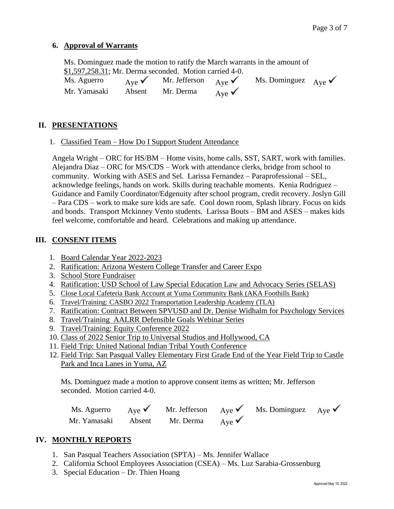#### **6. Approval of Warrants**

Ms. Dominguez made the motion to ratify the March warrants in the amount of \$1,597,258.31; Mr. Derma seconded. Motion carried 4-0. Ms. Aguerro  $Aye \times Mr$ . Jefferson  $Aye \times Ms$ . Dominguez  $Aye \times Ms$ 

Mr. Yamasaki Absent Mr. Derma  $_{A}$  Ne

### **II. PRESENTATIONS**

#### 1. Classified Team – How Do I Support Student Attendance

Angela Wright – ORC for HS/BM – Home visits, home calls, SST, SART, work with families. Alejandra Diaz – ORC for MS/CDS – Work with attendance clerks, bridge from school to community. Working with ASES and Sel. Larissa Fernandez – Paraprofessional – SEL, acknowledge feelings, hands on work. Skills during teachable moments. Kenia Rodriguez – Guidance and Family Coordinator/Edgenuity after school program, credit recovery. Joslyn Gill – Para CDS – work to make sure kids are safe. Cool down room, Splash library. Focus on kids and bonds. Transport Mckinney Vento students. Larissa Bouts – BM and ASES – makes kids feel welcome, comfortable and heard. Celebrations and making up attendance.

### **III. CONSENT ITEMS**

- 1. Board Calendar Year 2022-2023
- 2. Ratification: Arizona Western College Transfer and Career Expo
- 3. School Store Fundraiser
- 4. Ratification: USD School of Law Special Education Law and Advocacy Series (SELAS)
- 5. Close Local Cafeteria Bank Account at Yuma Community Bank (AKA Foothills Bank)
- 6. Travel/Training: CASBO 2022 Transportation Leadership Academy (TLA)
- 7. Ratification: Contract Between SPVUSD and Dr. Denise Widhalm for Psychology Services
- 8. Travel/Training AALRR Defensible Goals Webinar Series
- 9. Travel/Training: Equity Conference 2022
- 10. Class of 2022 Senior Trip to Universal Studios and Hollywood, CA
- 11. Field Trip: United National Indian Tribal Youth Conference
- 12. Field Trip: San Pasqual Valley Elementary First Grade End of the Year Field Trip to Castle Park and Inca Lanes in Yuma, AZ

Ms. Dominguez made a motion to approve consent items as written; Mr. Jefferson seconded. Motion carried 4-0.

| Ms. Aguerro  | Ave $\sqrt{ }$ | Mr. Jefferson | Ave $\checkmark$ | Ms. Dominguez $_{\text{Aye}} \checkmark$ |  |
|--------------|----------------|---------------|------------------|------------------------------------------|--|
| Mr. Yamasaki | Absent         | Mr. Derma     | Ave $\vee$       |                                          |  |

### **IV. MONTHLY REPORTS**

- 1. San Pasqual Teachers Association (SPTA) Ms. Jennifer Wallace
- 2. California School Employees Association (CSEA) Ms. Luz Sarabia-Grossenburg
- 3. Special Education Dr. Thien Hoang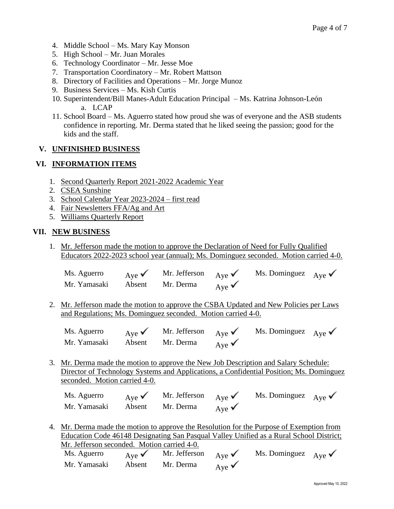- 4. Middle School Ms. Mary Kay Monson
- 5. High School Mr. Juan Morales
- 6. Technology Coordinator Mr. Jesse Moe
- 7. Transportation Coordinatory Mr. Robert Mattson
- 8. Directory of Facilities and Operations Mr. Jorge Munoz
- 9. Business Services Ms. Kish Curtis
- 10. Superintendent/Bill Manes-Adult Education Principal Ms. Katrina Johnson-León a. LCAP
- 11. School Board Ms. Aguerro stated how proud she was of everyone and the ASB students confidence in reporting. Mr. Derma stated that he liked seeing the passion; good for the kids and the staff.

#### **V. UNFINISHED BUSINESS**

#### **VI. INFORMATION ITEMS**

- 1. Second Quarterly Report 2021-2022 Academic Year
- 2. CSEA Sunshine
- 3. School Calendar Year 2023-2024 first read
- 4. Fair Newsletters FFA/Ag and Art
- 5. Williams Quarterly Report

#### **VII. NEW BUSINESS**

1. Mr. Jefferson made the motion to approve the Declaration of Need for Fully Qualified Educators 2022-2023 school year (annual); Ms. Dominguez seconded. Motion carried 4-0.

| Ms. Aguerro  | Ave $\checkmark$ | Mr. Jefferson $_{\text{Aye}} \checkmark$ |                  | Ms. Dominguez $_{\text{Aye}} \checkmark$ |  |
|--------------|------------------|------------------------------------------|------------------|------------------------------------------|--|
| Mr. Yamasaki | Absent           | Mr. Derma                                | Ave $\checkmark$ |                                          |  |

2. Mr. Jefferson made the motion to approve the CSBA Updated and New Policies per Laws and Regulations; Ms. Dominguez seconded. Motion carried 4-0.

| Ms. Aguerro  | Aye $\checkmark$ | Mr. Jefferson $_{Ave} \checkmark$ |                  | Ms. Dominguez $_{Ave} \checkmark$ |  |
|--------------|------------------|-----------------------------------|------------------|-----------------------------------|--|
| Mr. Yamasaki | Absent           | Mr. Derma                         | Ave $\checkmark$ |                                   |  |

3. Mr. Derma made the motion to approve the New Job Description and Salary Schedule: Director of Technology Systems and Applications, a Confidential Position; Ms. Dominguez seconded. Motion carried 4-0.

| Ms. Aguerro  | Ave $\sqrt{ }$ | Mr. Jefferson | Ave $\checkmark$ | Ms. Dominguez $_{\text{Ave}} \checkmark$ |  |
|--------------|----------------|---------------|------------------|------------------------------------------|--|
| Mr. Yamasaki | Absent         | Mr. Derma     | Ave $\vee$       |                                          |  |

4. Mr. Derma made the motion to approve the Resolution for the Purpose of Exemption from Education Code 46148 Designating San Pasqual Valley Unified as a Rural School District; Mr. Jefferson seconded. Motion carried 4-0. Ms. Aguerro  $Aye \times Mr$ . Jefferson  $Aye \times Ms$ . Dominguez  $Aye \times Ms$ Mr. Yamasaki Absent Mr. Derma  $_{Aye} \checkmark$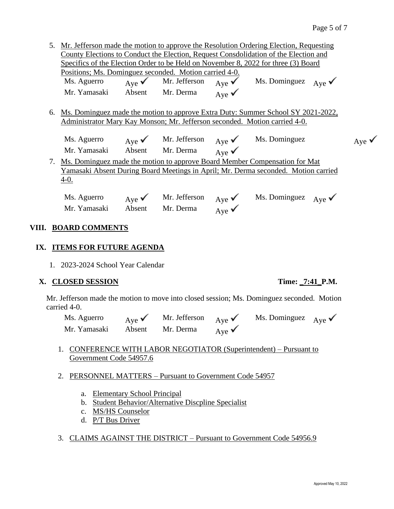5. Mr. Jefferson made the motion to approve the Resolution Ordering Election, Requesting County Elections to Conduct the Election, Request Consdolidation of the Election and Specifics of the Election Order to be Held on November 8, 2022 for three (3) Board Positions; Ms. Dominguez seconded. Motion carried 4-0. Ms. Aguerro  $A_{\text{V}e}$  Mr. Jefferson  $A_{\text{V}e}$  Ms. Dominguez  $A_{\text{V}e}$ 

Mr. Yamasaki Absent Mr. Derma Aye  $\sqrt{\ }$ 

| 6. Ms. Dominguez made the motion to approve Extra Duty: Summer School SY 2021-2022, |
|-------------------------------------------------------------------------------------|
| Administrator Mary Kay Monson; Mr. Jefferson seconded. Motion carried 4-0.          |

- Ms. Aguerro  $A_{\text{ye}} \times Mr$ . Jefferson  $A_{\text{ye}} \times Ms$ . Dominguez  $A_{\text{ye}} \times Ms$ Mr. Yamasaki Absent Mr. Derma  $_{A}$ ye  $\checkmark$ 7. Ms. Dominguez made the motion to approve Board Member Compensation for Mat Yamasaki Absent During Board Meetings in April; Mr. Derma seconded. Motion carried 4-0.
	- Ms. Aguerro  $_{Aye}$  Mr. Jefferson  $_{Aye}$  Ms. Dominguez  $_{Aye}$ Mr. Yamasaki Absent Mr. Derma Aye  $\sqrt{\ }$

## **VIII. BOARD COMMENTS**

## **IX. ITEMS FOR FUTURE AGENDA**

1. 2023-2024 School Year Calendar

## **X. CLOSED SESSION Time: \_7:41\_P.M.**

Mr. Jefferson made the motion to move into closed session; Ms. Dominguez seconded. Motion carried 4-0.

| Ms. Aguerro  | Aye $\checkmark$ | Mr. Jefferson | Aye $\checkmark$ | Ms. Dominguez $_{\text{Ave}} \checkmark$ |  |
|--------------|------------------|---------------|------------------|------------------------------------------|--|
| Mr. Yamasaki | Absent           | Mr. Derma     | Ave $\checkmark$ |                                          |  |

- 1. CONFERENCE WITH LABOR NEGOTIATOR (Superintendent) Pursuant to Government Code 54957.6
- 2. PERSONNEL MATTERS Pursuant to Government Code 54957
	- a. Elementary School Principal
	- b. Student Behavior/Alternative Discpline Specialist
	- c. MS/HS Counselor
	- d. P/T Bus Driver

## 3. CLAIMS AGAINST THE DISTRICT – Pursuant to Government Code 54956.9

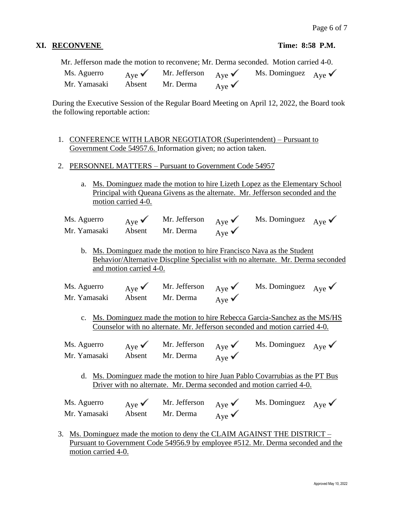#### **XI. RECONVENE Time: 8:58 P.M.**

Mr. Jefferson made the motion to reconvene; Mr. Derma seconded. Motion carried 4-0.

| Ms. Aguerro  | Ave $\checkmark$ | Mr. Jefferson $_{\text{Ave}} \checkmark$ |                  | Ms. Dominguez $_{Ave} \checkmark$ |  |
|--------------|------------------|------------------------------------------|------------------|-----------------------------------|--|
| Mr. Yamasaki | Absent           | Mr. Derma                                | Ave $\checkmark$ |                                   |  |

During the Executive Session of the Regular Board Meeting on April 12, 2022, the Board took the following reportable action:

- 1. CONFERENCE WITH LABOR NEGOTIATOR (Superintendent) Pursuant to Government Code 54957.6. Information given; no action taken.
- 2. PERSONNEL MATTERS Pursuant to Government Code 54957
	- a. Ms. Dominguez made the motion to hire Lizeth Lopez as the Elementary School Principal with Queana Givens as the alternate. Mr. Jefferson seconded and the motion carried 4-0.

| Ms. Aguerro  | Ave $\checkmark$ | Mr. Jefferson | Ave $\sqrt{ }$ | Ms. Dominguez $_{\text{Ave}} \checkmark$ |  |
|--------------|------------------|---------------|----------------|------------------------------------------|--|
| Mr. Yamasaki | Absent           | Mr. Derma     | Ave $\sqrt{ }$ |                                          |  |

b. Ms. Dominguez made the motion to hire Francisco Nava as the Student Behavior/Alternative Discpline Specialist with no alternate. Mr. Derma seconded and motion carried 4-0.

| Ms. Aguerro  | Ave $\checkmark$ | Mr. Jefferson $_{Ave}$ |                | Ms. Dominguez $_{\text{Ave}} \checkmark$ |  |
|--------------|------------------|------------------------|----------------|------------------------------------------|--|
| Mr. Yamasaki | Absent           | Mr. Derma              | Ave $\sqrt{ }$ |                                          |  |

c. Ms. Dominguez made the motion to hire Rebecca Garcia-Sanchez as the MS/HS Counselor with no alternate. Mr. Jefferson seconded and motion carried 4-0.

| Ms. Aguerro  | Ave $\sqrt{ }$ | Mr. Jefferson | Ave $\checkmark$ | Ms. Dominguez $_{\text{Ave}} \checkmark$ |  |
|--------------|----------------|---------------|------------------|------------------------------------------|--|
| Mr. Yamasaki | Absent         | Mr. Derma     | Ave $\sqrt{ }$   |                                          |  |

d. Ms. Dominguez made the motion to hire Juan Pablo Covarrubias as the PT Bus Driver with no alternate. Mr. Derma seconded and motion carried 4-0.

| Ms. Aguerro  | Ave $\checkmark$ | Mr. Jefferson | Ave $\checkmark$ | Ms. Dominguez $_{\text{Ave}} \checkmark$ |  |
|--------------|------------------|---------------|------------------|------------------------------------------|--|
| Mr. Yamasaki | Absent           | Mr. Derma     | Ave $\checkmark$ |                                          |  |

3. Ms. Dominguez made the motion to deny the CLAIM AGAINST THE DISTRICT – Pursuant to Government Code 54956.9 by employee #512. Mr. Derma seconded and the motion carried 4-0.